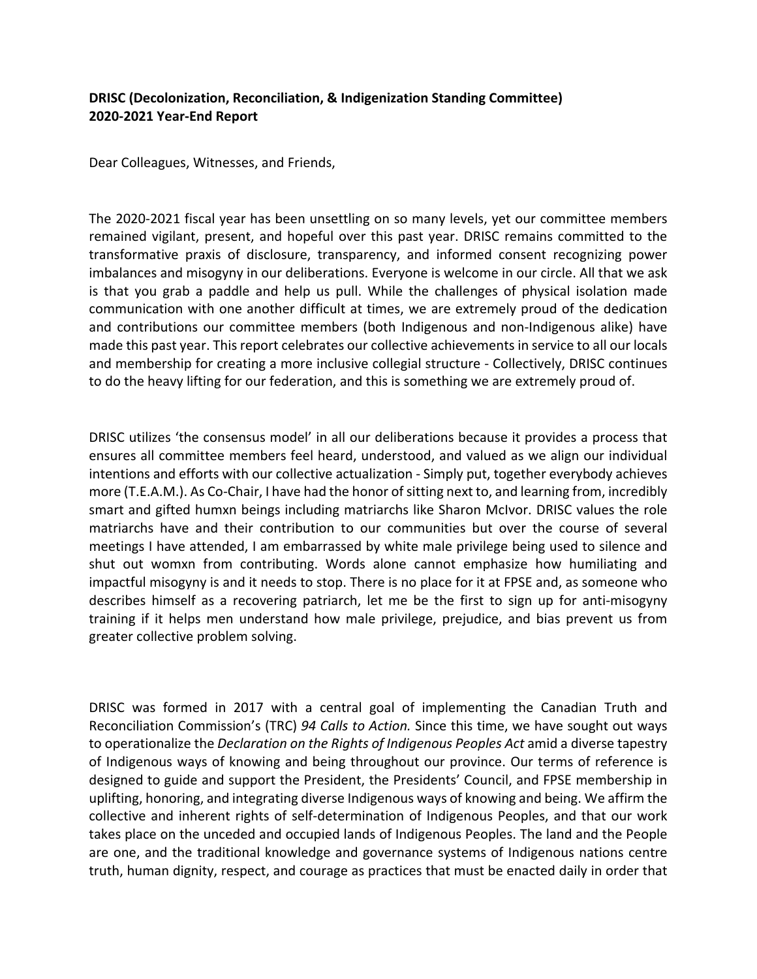## **DRISC (Decolonization, Reconciliation, & Indigenization Standing Committee) 2020‐2021 Year‐End Report**

Dear Colleagues, Witnesses, and Friends,

The 2020‐2021 fiscal year has been unsettling on so many levels, yet our committee members remained vigilant, present, and hopeful over this past year. DRISC remains committed to the transformative praxis of disclosure, transparency, and informed consent recognizing power imbalances and misogyny in our deliberations. Everyone is welcome in our circle. All that we ask is that you grab a paddle and help us pull. While the challenges of physical isolation made communication with one another difficult at times, we are extremely proud of the dedication and contributions our committee members (both Indigenous and non-Indigenous alike) have made this past year. This report celebrates our collective achievements in service to all our locals and membership for creating a more inclusive collegial structure ‐ Collectively, DRISC continues to do the heavy lifting for our federation, and this is something we are extremely proud of.

DRISC utilizes 'the consensus model' in all our deliberations because it provides a process that ensures all committee members feel heard, understood, and valued as we align our individual intentions and efforts with our collective actualization ‐ Simply put, together everybody achieves more (T.E.A.M.). As Co-Chair, I have had the honor of sitting next to, and learning from, incredibly smart and gifted humxn beings including matriarchs like Sharon McIvor. DRISC values the role matriarchs have and their contribution to our communities but over the course of several meetings I have attended, I am embarrassed by white male privilege being used to silence and shut out womxn from contributing. Words alone cannot emphasize how humiliating and impactful misogyny is and it needs to stop. There is no place for it at FPSE and, as someone who describes himself as a recovering patriarch, let me be the first to sign up for anti-misogyny training if it helps men understand how male privilege, prejudice, and bias prevent us from greater collective problem solving.

DRISC was formed in 2017 with a central goal of implementing the Canadian Truth and Reconciliation Commission's (TRC) *94 Calls to Action.* Since this time, we have sought out ways to operationalize the *Declaration on the Rights of Indigenous Peoples Act* amid a diverse tapestry of Indigenous ways of knowing and being throughout our province. Our terms of reference is designed to guide and support the President, the Presidents' Council, and FPSE membership in uplifting, honoring, and integrating diverse Indigenous ways of knowing and being. We affirm the collective and inherent rights of self‐determination of Indigenous Peoples, and that our work takes place on the unceded and occupied lands of Indigenous Peoples. The land and the People are one, and the traditional knowledge and governance systems of Indigenous nations centre truth, human dignity, respect, and courage as practices that must be enacted daily in order that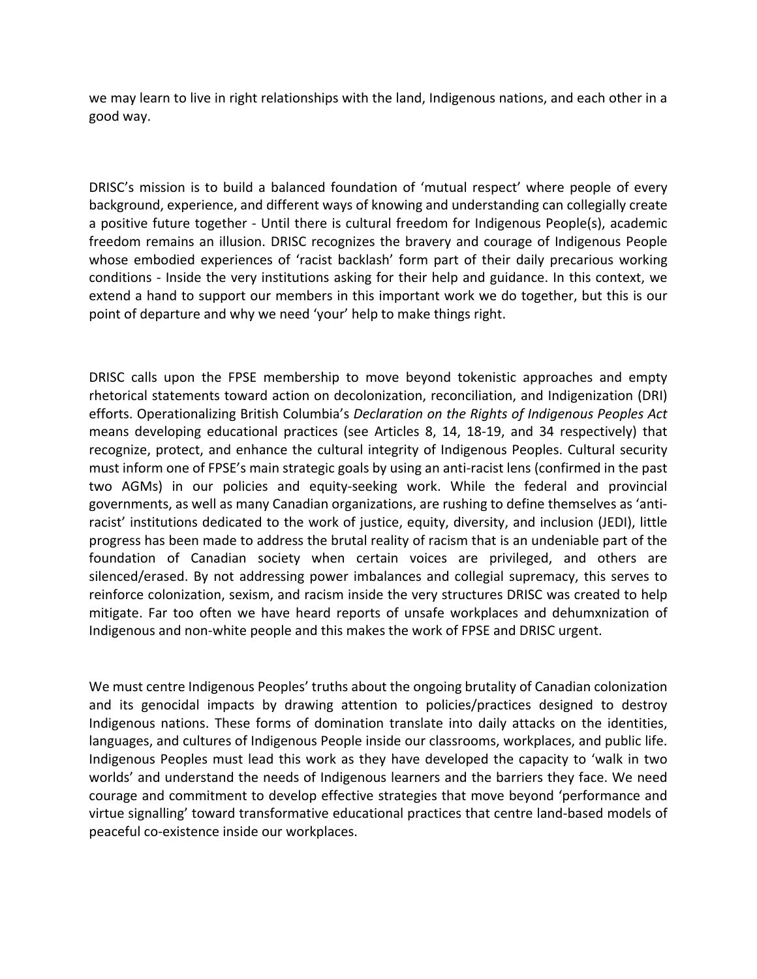we may learn to live in right relationships with the land, Indigenous nations, and each other in a good way.

DRISC's mission is to build a balanced foundation of 'mutual respect' where people of every background, experience, and different ways of knowing and understanding can collegially create a positive future together - Until there is cultural freedom for Indigenous People(s), academic freedom remains an illusion. DRISC recognizes the bravery and courage of Indigenous People whose embodied experiences of 'racist backlash' form part of their daily precarious working conditions - Inside the very institutions asking for their help and guidance. In this context, we extend a hand to support our members in this important work we do together, but this is our point of departure and why we need 'your' help to make things right.

DRISC calls upon the FPSE membership to move beyond tokenistic approaches and empty rhetorical statements toward action on decolonization, reconciliation, and Indigenization (DRI) efforts. Operationalizing British Columbia's *Declaration on the Rights of Indigenous Peoples Act* means developing educational practices (see Articles 8, 14, 18‐19, and 34 respectively) that recognize, protect, and enhance the cultural integrity of Indigenous Peoples. Cultural security must inform one of FPSE's main strategic goals by using an anti-racist lens (confirmed in the past two AGMs) in our policies and equity‐seeking work. While the federal and provincial governments, as well as many Canadian organizations, are rushing to define themselves as 'anti‐ racist' institutions dedicated to the work of justice, equity, diversity, and inclusion (JEDI), little progress has been made to address the brutal reality of racism that is an undeniable part of the foundation of Canadian society when certain voices are privileged, and others are silenced/erased. By not addressing power imbalances and collegial supremacy, this serves to reinforce colonization, sexism, and racism inside the very structures DRISC was created to help mitigate. Far too often we have heard reports of unsafe workplaces and dehumxnization of Indigenous and non‐white people and this makes the work of FPSE and DRISC urgent.

We must centre Indigenous Peoples' truths about the ongoing brutality of Canadian colonization and its genocidal impacts by drawing attention to policies/practices designed to destroy Indigenous nations. These forms of domination translate into daily attacks on the identities, languages, and cultures of Indigenous People inside our classrooms, workplaces, and public life. Indigenous Peoples must lead this work as they have developed the capacity to 'walk in two worlds' and understand the needs of Indigenous learners and the barriers they face. We need courage and commitment to develop effective strategies that move beyond 'performance and virtue signalling' toward transformative educational practices that centre land‐based models of peaceful co‐existence inside our workplaces.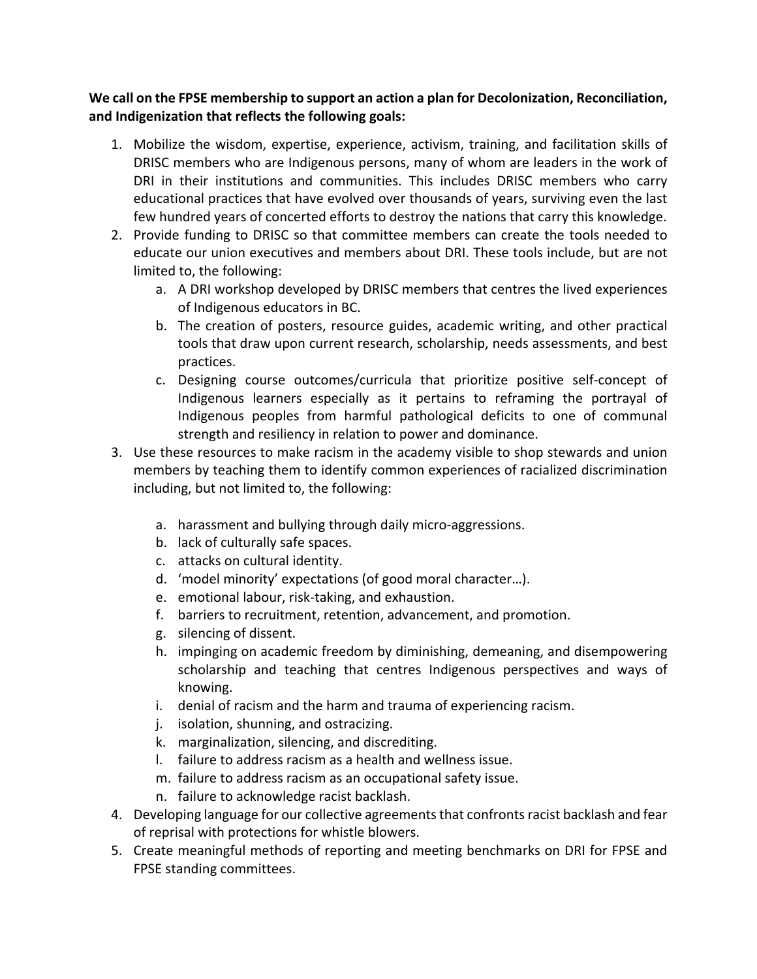**We call on the FPSE membership to support an action a plan for Decolonization, Reconciliation, and Indigenization that reflects the following goals:**

- 1. Mobilize the wisdom, expertise, experience, activism, training, and facilitation skills of DRISC members who are Indigenous persons, many of whom are leaders in the work of DRI in their institutions and communities. This includes DRISC members who carry educational practices that have evolved over thousands of years, surviving even the last few hundred years of concerted efforts to destroy the nations that carry this knowledge.
- 2. Provide funding to DRISC so that committee members can create the tools needed to educate our union executives and members about DRI. These tools include, but are not limited to, the following:
	- a. A DRI workshop developed by DRISC members that centres the lived experiences of Indigenous educators in BC.
	- b. The creation of posters, resource guides, academic writing, and other practical tools that draw upon current research, scholarship, needs assessments, and best practices.
	- c. Designing course outcomes/curricula that prioritize positive self‐concept of Indigenous learners especially as it pertains to reframing the portrayal of Indigenous peoples from harmful pathological deficits to one of communal strength and resiliency in relation to power and dominance.
- 3. Use these resources to make racism in the academy visible to shop stewards and union members by teaching them to identify common experiences of racialized discrimination including, but not limited to, the following:
	- a. harassment and bullying through daily micro‐aggressions.
	- b. lack of culturally safe spaces.
	- c. attacks on cultural identity.
	- d. 'model minority' expectations (of good moral character…).
	- e. emotional labour, risk‐taking, and exhaustion.
	- f. barriers to recruitment, retention, advancement, and promotion.
	- g. silencing of dissent.
	- h. impinging on academic freedom by diminishing, demeaning, and disempowering scholarship and teaching that centres Indigenous perspectives and ways of knowing.
	- i. denial of racism and the harm and trauma of experiencing racism.
	- j. isolation, shunning, and ostracizing.
	- k. marginalization, silencing, and discrediting.
	- l. failure to address racism as a health and wellness issue.
	- m. failure to address racism as an occupational safety issue.
	- n. failure to acknowledge racist backlash.
- 4. Developing language for our collective agreements that confronts racist backlash and fear of reprisal with protections for whistle blowers.
- 5. Create meaningful methods of reporting and meeting benchmarks on DRI for FPSE and FPSE standing committees.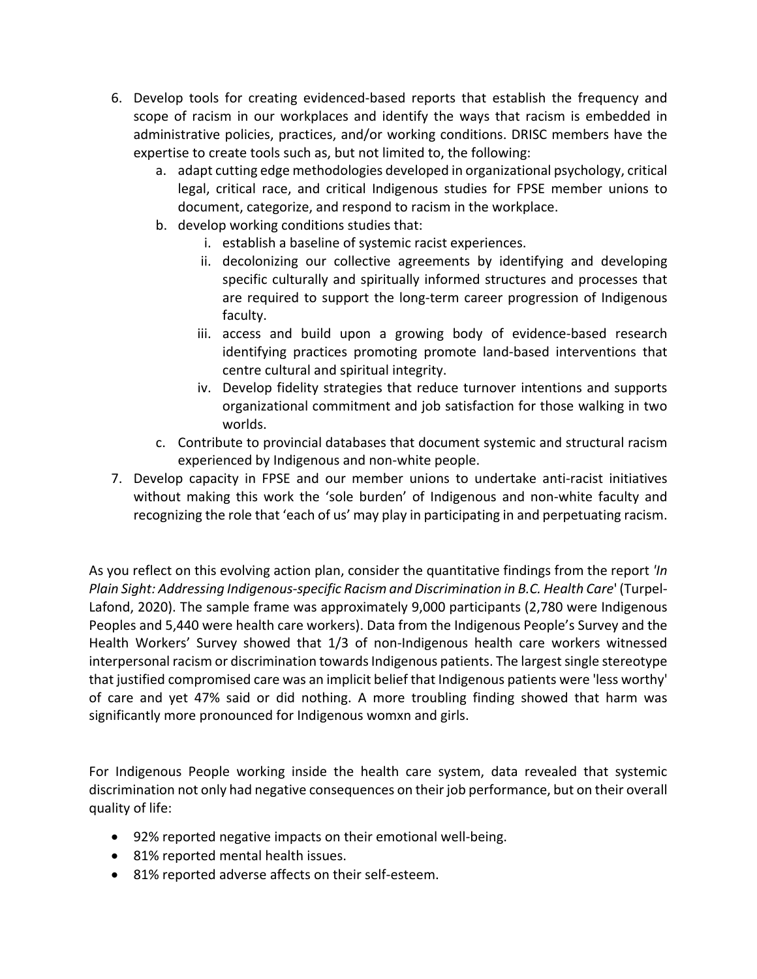- 6. Develop tools for creating evidenced-based reports that establish the frequency and scope of racism in our workplaces and identify the ways that racism is embedded in administrative policies, practices, and/or working conditions. DRISC members have the expertise to create tools such as, but not limited to, the following:
	- a. adapt cutting edge methodologies developed in organizational psychology, critical legal, critical race, and critical Indigenous studies for FPSE member unions to document, categorize, and respond to racism in the workplace.
	- b. develop working conditions studies that:
		- i. establish a baseline of systemic racist experiences.
		- ii. decolonizing our collective agreements by identifying and developing specific culturally and spiritually informed structures and processes that are required to support the long‐term career progression of Indigenous faculty.
		- iii. access and build upon a growing body of evidence-based research identifying practices promoting promote land‐based interventions that centre cultural and spiritual integrity.
		- iv. Develop fidelity strategies that reduce turnover intentions and supports organizational commitment and job satisfaction for those walking in two worlds.
	- c. Contribute to provincial databases that document systemic and structural racism experienced by Indigenous and non‐white people.
- 7. Develop capacity in FPSE and our member unions to undertake anti‐racist initiatives without making this work the 'sole burden' of Indigenous and non-white faculty and recognizing the role that 'each of us' may play in participating in and perpetuating racism.

As you reflect on this evolving action plan, consider the quantitative findings from the report *'In Plain Sight: Addressing Indigenous‐specific Racism and Discrimination in B.C. Health Care*' (Turpel‐ Lafond, 2020). The sample frame was approximately 9,000 participants (2,780 were Indigenous Peoples and 5,440 were health care workers). Data from the Indigenous People's Survey and the Health Workers' Survey showed that 1/3 of non-Indigenous health care workers witnessed interpersonal racism or discrimination towards Indigenous patients. The largest single stereotype that justified compromised care was an implicit belief that Indigenous patients were 'less worthy' of care and yet 47% said or did nothing. A more troubling finding showed that harm was significantly more pronounced for Indigenous womxn and girls.

For Indigenous People working inside the health care system, data revealed that systemic discrimination not only had negative consequences on their job performance, but on their overall quality of life:

- 92% reported negative impacts on their emotional well-being.
- 81% reported mental health issues.
- 81% reported adverse affects on their self-esteem.